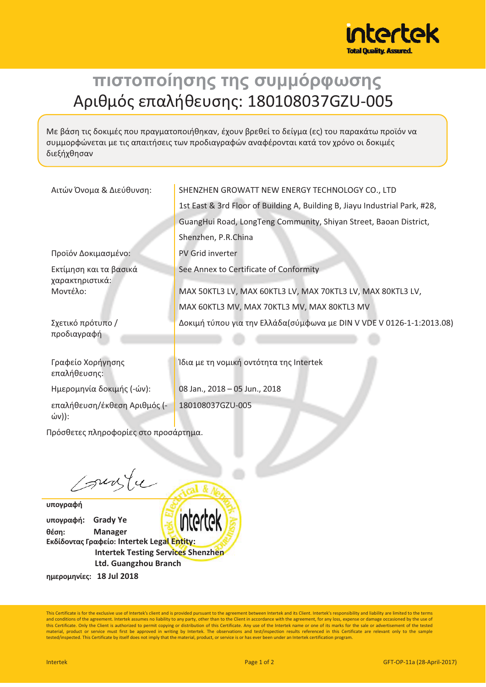

## **THE LIBER INCORREGATE:** Αριθμός επαλήθευσης: 180108037GZU-005

Με βάση τις δοκιμές που πραγματοποιήθηκαν, έχουν βρεθεί το δείγμα (ες) του παρακάτω προϊόν να συμμορφώνεται με τις απαιτήσεις των προδιαγραφών αναφέρονται κατά τον χρόνο οι δοκιμές διεξήχθησαν

| Αιτών Όνομα & Διεύθυνση:                  | SHENZHEN GROWATT NEW ENERGY TECHNOLOGY CO., LTD                             |
|-------------------------------------------|-----------------------------------------------------------------------------|
|                                           | 1st East & 3rd Floor of Building A, Building B, Jiayu Industrial Park, #28, |
|                                           | GuangHui Road, LongTeng Community, Shiyan Street, Baoan District,           |
|                                           | Shenzhen, P.R.China                                                         |
| Προϊόν Δοκιμασμένο:                       | PV Grid inverter                                                            |
| Εκτίμηση και τα βασικά<br>χαρακτηριστικά: | See Annex to Certificate of Conformity                                      |
| Μοντέλο:                                  | MAX 50KTL3 LV, MAX 60KTL3 LV, MAX 70KTL3 LV, MAX 80KTL3 LV,                 |
|                                           | MAX 60KTL3 MV, MAX 70KTL3 MV, MAX 80KTL3 MV                                 |
| Σχετικό πρότυπο /<br>προδιαγραφή          | Δοκιμή τύπου για την Ελλάδα(σύμφωνα με DIN V VDE V 0126-1-1:2013.08)        |
| Γραφείο Χορήγησης<br>επαλήθευσης:         | Ίδια με τη νομική οντότητα της Intertek                                     |
| Ημερομηνία δοκιμής (-ών):                 | 08 Jan., 2018 - 05 Jun., 2018                                               |
| επαλήθευση/έκθεση Αριθμός (-<br>ών)):     | 180108037GZU-005                                                            |
| Πρόσθετες πληροφορίες στο προσάρτημα.     |                                                                             |
|                                           |                                                                             |
| $\mathcal{L}$ . The same $\mathcal{L}$    |                                                                             |

sunte

υπογραφή **Uπογραφή:** Grady Ye  $θ$ έση: **Manager Εκδίδοντας Γραφείο: Intertek Lega<mark>l Entity:</mark> Intertek-Testing-Services-Shenzhen-** Ltd. Guangzhou Branch

**ημερομηνίες: 18 Jul 2018** 

This Certificate is for the exclusive use of Intertek's client and is provided pursuant to the agreement between Intertek and its Client. Intertek's responsibility and liability are limited to the terms and conditions of the agreement. Intertek assumes no liability to any party, other than to the Client in accordance with the agreement, for any loss, expense or damage occasioned by the use of<br>this Certificate. Only the Cl material, product or service must first be approved in writing by Intertek. The observations and test/inspection results referenced in this Certificate are relevant only to the sample<br>tested/inspected. This Certificate by